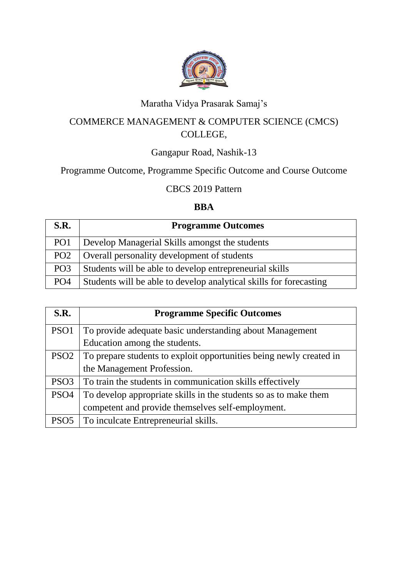

# Maratha Vidya Prasarak Samaj's

## COMMERCE MANAGEMENT & COMPUTER SCIENCE (CMCS) COLLEGE,

### Gangapur Road, Nashik-13

## Programme Outcome, Programme Specific Outcome and Course Outcome

#### CBCS 2019 Pattern

#### **BBA**

| S.R.            | <b>Programme Outcomes</b>                                          |
|-----------------|--------------------------------------------------------------------|
| PO <sub>1</sub> | Develop Managerial Skills amongst the students                     |
| PO <sub>2</sub> | Overall personality development of students                        |
| PO <sub>3</sub> | Students will be able to develop entrepreneurial skills            |
| PO <sub>4</sub> | Students will be able to develop analytical skills for forecasting |

| S.R.             | <b>Programme Specific Outcomes</b>                                  |  |
|------------------|---------------------------------------------------------------------|--|
| PSO <sub>1</sub> | To provide adequate basic understanding about Management            |  |
|                  | Education among the students.                                       |  |
| PSO <sub>2</sub> | To prepare students to exploit opportunities being newly created in |  |
|                  | the Management Profession.                                          |  |
| PSO <sub>3</sub> | To train the students in communication skills effectively           |  |
| PSO <sub>4</sub> | To develop appropriate skills in the students so as to make them    |  |
|                  | competent and provide themselves self-employment.                   |  |
| PSO <sub>5</sub> | To inculcate Entrepreneurial skills.                                |  |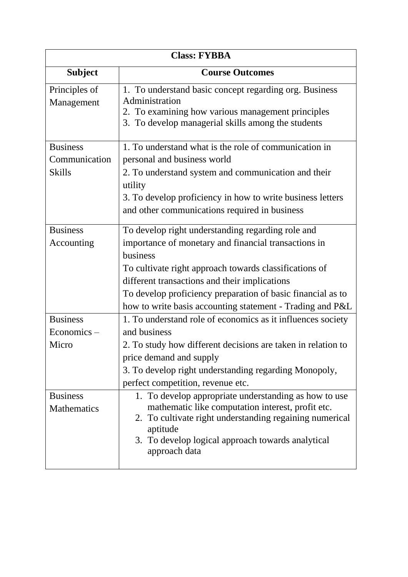| <b>Class: FYBBA</b>                               |                                                                                                                                                                                                                                                                                                                                                              |  |
|---------------------------------------------------|--------------------------------------------------------------------------------------------------------------------------------------------------------------------------------------------------------------------------------------------------------------------------------------------------------------------------------------------------------------|--|
| <b>Subject</b>                                    | <b>Course Outcomes</b>                                                                                                                                                                                                                                                                                                                                       |  |
| Principles of<br>Management                       | 1. To understand basic concept regarding org. Business<br>Administration<br>2. To examining how various management principles<br>3. To develop managerial skills among the students                                                                                                                                                                          |  |
| <b>Business</b><br>Communication<br><b>Skills</b> | 1. To understand what is the role of communication in<br>personal and business world<br>2. To understand system and communication and their<br>utility<br>3. To develop proficiency in how to write business letters<br>and other communications required in business                                                                                        |  |
| <b>Business</b><br>Accounting                     | To develop right understanding regarding role and<br>importance of monetary and financial transactions in<br>business<br>To cultivate right approach towards classifications of<br>different transactions and their implications<br>To develop proficiency preparation of basic financial as to<br>how to write basis accounting statement - Trading and P&L |  |
| <b>Business</b><br>$Economics -$<br>Micro         | 1. To understand role of economics as it influences society<br>and business<br>2. To study how different decisions are taken in relation to<br>price demand and supply<br>3. To develop right understanding regarding Monopoly,<br>perfect competition, revenue etc.                                                                                         |  |
| <b>Business</b><br>Mathematics                    | 1. To develop appropriate understanding as how to use<br>mathematic like computation interest, profit etc.<br>2. To cultivate right understanding regaining numerical<br>aptitude<br>3. To develop logical approach towards analytical<br>approach data                                                                                                      |  |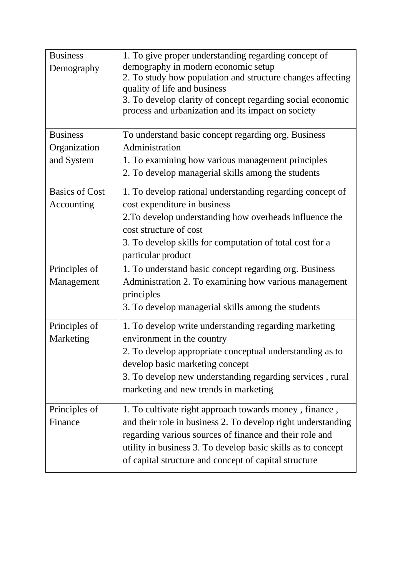| <b>Business</b><br>Demography       | 1. To give proper understanding regarding concept of<br>demography in modern economic setup<br>2. To study how population and structure changes affecting<br>quality of life and business<br>3. To develop clarity of concept regarding social economic<br>process and urbanization and its impact on society |
|-------------------------------------|---------------------------------------------------------------------------------------------------------------------------------------------------------------------------------------------------------------------------------------------------------------------------------------------------------------|
| <b>Business</b>                     | To understand basic concept regarding org. Business                                                                                                                                                                                                                                                           |
| Organization                        | Administration                                                                                                                                                                                                                                                                                                |
| and System                          | 1. To examining how various management principles<br>2. To develop managerial skills among the students                                                                                                                                                                                                       |
| <b>Basics of Cost</b><br>Accounting | 1. To develop rational understanding regarding concept of<br>cost expenditure in business                                                                                                                                                                                                                     |
|                                     | 2. To develop understanding how overheads influence the<br>cost structure of cost                                                                                                                                                                                                                             |
|                                     | 3. To develop skills for computation of total cost for a<br>particular product                                                                                                                                                                                                                                |
| Principles of                       | 1. To understand basic concept regarding org. Business                                                                                                                                                                                                                                                        |
| Management                          | Administration 2. To examining how various management<br>principles                                                                                                                                                                                                                                           |
|                                     | 3. To develop managerial skills among the students                                                                                                                                                                                                                                                            |
| Principles of<br>Marketing          | 1. To develop write understanding regarding marketing<br>environment in the country                                                                                                                                                                                                                           |
|                                     | 2. To develop appropriate conceptual understanding as to                                                                                                                                                                                                                                                      |
|                                     | develop basic marketing concept                                                                                                                                                                                                                                                                               |
|                                     | 3. To develop new understanding regarding services, rural<br>marketing and new trends in marketing                                                                                                                                                                                                            |
| Principles of                       | 1. To cultivate right approach towards money, finance,                                                                                                                                                                                                                                                        |
| Finance                             | and their role in business 2. To develop right understanding<br>regarding various sources of finance and their role and                                                                                                                                                                                       |
|                                     | utility in business 3. To develop basic skills as to concept<br>of capital structure and concept of capital structure                                                                                                                                                                                         |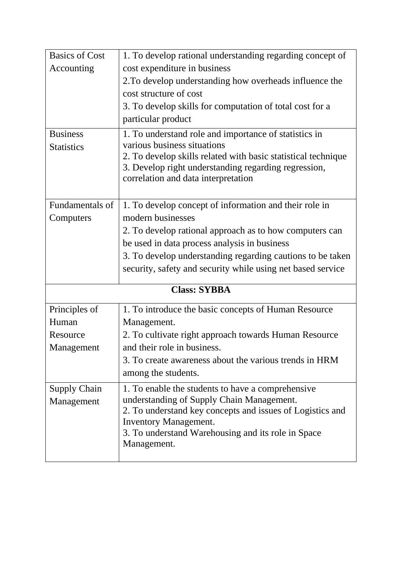| <b>Basics of Cost</b> | 1. To develop rational understanding regarding concept of                                   |  |
|-----------------------|---------------------------------------------------------------------------------------------|--|
| Accounting            | cost expenditure in business                                                                |  |
|                       | 2. To develop understanding how overheads influence the                                     |  |
|                       | cost structure of cost                                                                      |  |
|                       | 3. To develop skills for computation of total cost for a                                    |  |
|                       | particular product                                                                          |  |
| <b>Business</b>       | 1. To understand role and importance of statistics in                                       |  |
| <b>Statistics</b>     | various business situations                                                                 |  |
|                       | 2. To develop skills related with basic statistical technique                               |  |
|                       | 3. Develop right understanding regarding regression,<br>correlation and data interpretation |  |
|                       |                                                                                             |  |
| Fundamentals of       | 1. To develop concept of information and their role in                                      |  |
| Computers             | modern businesses                                                                           |  |
|                       | 2. To develop rational approach as to how computers can                                     |  |
|                       | be used in data process analysis in business                                                |  |
|                       | 3. To develop understanding regarding cautions to be taken                                  |  |
|                       | security, safety and security while using net based service                                 |  |
| <b>Class: SYBBA</b>   |                                                                                             |  |
| Principles of         | 1. To introduce the basic concepts of Human Resource                                        |  |
| Human                 | Management.                                                                                 |  |
| Resource              | 2. To cultivate right approach towards Human Resource                                       |  |
| Management            | and their role in business.                                                                 |  |
|                       | 3. To create awareness about the various trends in HRM                                      |  |
|                       | among the students.                                                                         |  |
| <b>Supply Chain</b>   | 1. To enable the students to have a comprehensive                                           |  |
| Management            | understanding of Supply Chain Management.                                                   |  |
|                       | 2. To understand key concepts and issues of Logistics and                                   |  |
|                       | Inventory Management.<br>3. To understand Warehousing and its role in Space                 |  |
|                       | Management.                                                                                 |  |
|                       |                                                                                             |  |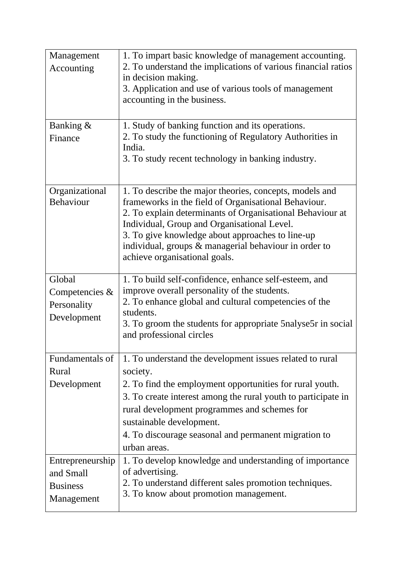| Management<br>Accounting                                       | 1. To impart basic knowledge of management accounting.<br>2. To understand the implications of various financial ratios<br>in decision making.<br>3. Application and use of various tools of management<br>accounting in the business.                                                                                                                                    |
|----------------------------------------------------------------|---------------------------------------------------------------------------------------------------------------------------------------------------------------------------------------------------------------------------------------------------------------------------------------------------------------------------------------------------------------------------|
| Banking &<br>Finance                                           | 1. Study of banking function and its operations.<br>2. To study the functioning of Regulatory Authorities in<br>India.<br>3. To study recent technology in banking industry.                                                                                                                                                                                              |
| Organizational<br>Behaviour                                    | 1. To describe the major theories, concepts, models and<br>frameworks in the field of Organisational Behaviour.<br>2. To explain determinants of Organisational Behaviour at<br>Individual, Group and Organisational Level.<br>3. To give knowledge about approaches to line-up<br>individual, groups & managerial behaviour in order to<br>achieve organisational goals. |
| Global<br>Competencies &<br>Personality<br>Development         | 1. To build self-confidence, enhance self-esteem, and<br>improve overall personality of the students.<br>2. To enhance global and cultural competencies of the<br>students.<br>3. To groom the students for appropriate 5nalyse5r in social<br>and professional circles                                                                                                   |
| Fundamentals of<br>Rural<br>Development                        | 1. To understand the development issues related to rural<br>society.<br>2. To find the employment opportunities for rural youth.<br>3. To create interest among the rural youth to participate in<br>rural development programmes and schemes for<br>sustainable development.<br>4. To discourage seasonal and permanent migration to<br>urban areas.                     |
| Entrepreneurship<br>and Small<br><b>Business</b><br>Management | 1. To develop knowledge and understanding of importance<br>of advertising.<br>2. To understand different sales promotion techniques.<br>3. To know about promotion management.                                                                                                                                                                                            |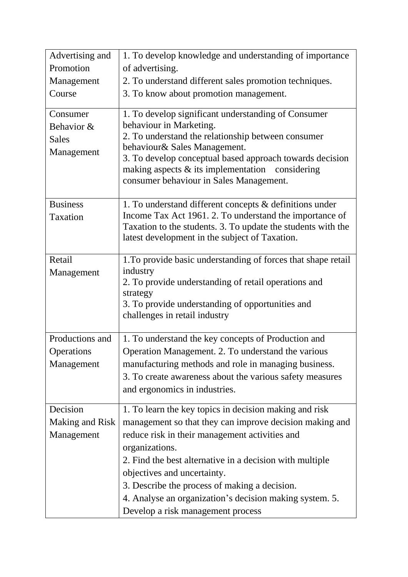| Advertising and | 1. To develop knowledge and understanding of importance                                                                                                   |
|-----------------|-----------------------------------------------------------------------------------------------------------------------------------------------------------|
| Promotion       | of advertising.                                                                                                                                           |
| Management      | 2. To understand different sales promotion techniques.                                                                                                    |
| Course          | 3. To know about promotion management.                                                                                                                    |
|                 |                                                                                                                                                           |
| Consumer        | 1. To develop significant understanding of Consumer<br>behaviour in Marketing.                                                                            |
| Behavior &      | 2. To understand the relationship between consumer                                                                                                        |
| <b>Sales</b>    | behaviour& Sales Management.                                                                                                                              |
| Management      | 3. To develop conceptual based approach towards decision<br>making aspects $\&$ its implementation considering<br>consumer behaviour in Sales Management. |
| <b>Business</b> | 1. To understand different concepts & definitions under                                                                                                   |
| Taxation        | Income Tax Act 1961. 2. To understand the importance of                                                                                                   |
|                 | Taxation to the students. 3. To update the students with the                                                                                              |
|                 | latest development in the subject of Taxation.                                                                                                            |
| Retail          | 1. To provide basic understanding of forces that shape retail                                                                                             |
| Management      | industry                                                                                                                                                  |
|                 | 2. To provide understanding of retail operations and                                                                                                      |
|                 | strategy                                                                                                                                                  |
|                 | 3. To provide understanding of opportunities and<br>challenges in retail industry                                                                         |
|                 |                                                                                                                                                           |
| Productions and | 1. To understand the key concepts of Production and                                                                                                       |
| Operations      | Operation Management. 2. To understand the various                                                                                                        |
| Management      | manufacturing methods and role in managing business.                                                                                                      |
|                 | 3. To create awareness about the various safety measures                                                                                                  |
|                 | and ergonomics in industries.                                                                                                                             |
| Decision        | 1. To learn the key topics in decision making and risk                                                                                                    |
| Making and Risk | management so that they can improve decision making and                                                                                                   |
| Management      | reduce risk in their management activities and                                                                                                            |
|                 | organizations.                                                                                                                                            |
|                 | 2. Find the best alternative in a decision with multiple                                                                                                  |
|                 | objectives and uncertainty.                                                                                                                               |
|                 | 3. Describe the process of making a decision.                                                                                                             |
|                 | 4. Analyse an organization's decision making system. 5.                                                                                                   |
|                 | Develop a risk management process                                                                                                                         |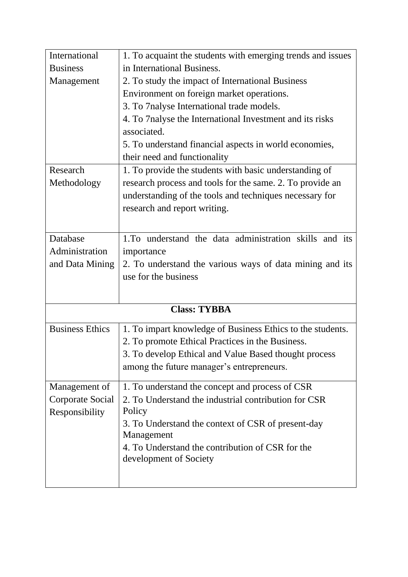| International          | 1. To acquaint the students with emerging trends and issues |
|------------------------|-------------------------------------------------------------|
| <b>Business</b>        | in International Business.                                  |
| Management             | 2. To study the impact of International Business            |
|                        | Environment on foreign market operations.                   |
|                        | 3. To 7nalyse International trade models.                   |
|                        | 4. To 7 nalyse the International Investment and its risks   |
|                        | associated.                                                 |
|                        | 5. To understand financial aspects in world economies,      |
|                        | their need and functionality                                |
| Research               | 1. To provide the students with basic understanding of      |
| Methodology            | research process and tools for the same. 2. To provide an   |
|                        | understanding of the tools and techniques necessary for     |
|                        | research and report writing.                                |
|                        |                                                             |
| Database               | 1. To understand the data administration skills and its     |
| Administration         | importance                                                  |
| and Data Mining        | 2. To understand the various ways of data mining and its    |
|                        | use for the business                                        |
|                        |                                                             |
|                        | <b>Class: TYBBA</b>                                         |
|                        |                                                             |
| <b>Business Ethics</b> | 1. To impart knowledge of Business Ethics to the students.  |
|                        | 2. To promote Ethical Practices in the Business.            |
|                        | 3. To develop Ethical and Value Based thought process       |
|                        | among the future manager's entrepreneurs.                   |
| Management of          | 1. To understand the concept and process of CSR             |
| Corporate Social       | 2. To Understand the industrial contribution for CSR        |
| Responsibility         | Policy                                                      |
|                        | 3. To Understand the context of CSR of present-day          |
|                        | Management                                                  |
|                        | 4. To Understand the contribution of CSR for the            |
|                        | development of Society                                      |
|                        |                                                             |
|                        |                                                             |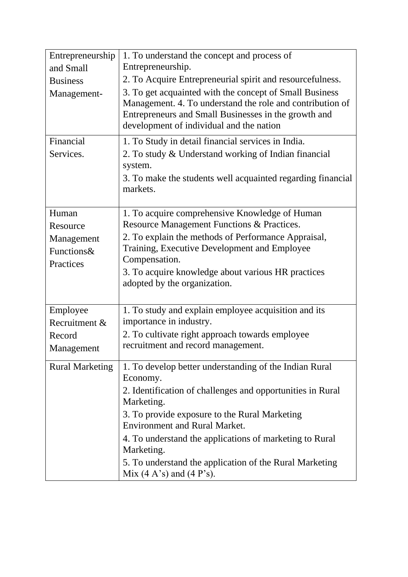| Entrepreneurship<br>and Small<br><b>Business</b><br>Management- | 1. To understand the concept and process of<br>Entrepreneurship.<br>2. To Acquire Entrepreneurial spirit and resourcefulness.<br>3. To get acquainted with the concept of Small Business<br>Management. 4. To understand the role and contribution of<br>Entrepreneurs and Small Businesses in the growth and<br>development of individual and the nation                                                    |
|-----------------------------------------------------------------|--------------------------------------------------------------------------------------------------------------------------------------------------------------------------------------------------------------------------------------------------------------------------------------------------------------------------------------------------------------------------------------------------------------|
| Financial<br>Services.                                          | 1. To Study in detail financial services in India.<br>2. To study & Understand working of Indian financial<br>system.<br>3. To make the students well acquainted regarding financial<br>markets.                                                                                                                                                                                                             |
| Human<br>Resource<br>Management<br>Functions&<br>Practices      | 1. To acquire comprehensive Knowledge of Human<br>Resource Management Functions & Practices.<br>2. To explain the methods of Performance Appraisal,<br>Training, Executive Development and Employee<br>Compensation.<br>3. To acquire knowledge about various HR practices<br>adopted by the organization.                                                                                                   |
| Employee<br>Recruitment &<br>Record<br>Management               | 1. To study and explain employee acquisition and its<br>importance in industry.<br>2. To cultivate right approach towards employee<br>recruitment and record management.                                                                                                                                                                                                                                     |
| <b>Rural Marketing</b>                                          | 1. To develop better understanding of the Indian Rural<br>Economy.<br>2. Identification of challenges and opportunities in Rural<br>Marketing.<br>3. To provide exposure to the Rural Marketing<br><b>Environment and Rural Market.</b><br>4. To understand the applications of marketing to Rural<br>Marketing.<br>5. To understand the application of the Rural Marketing<br>Mix $(4 A's)$ and $(4 P's)$ . |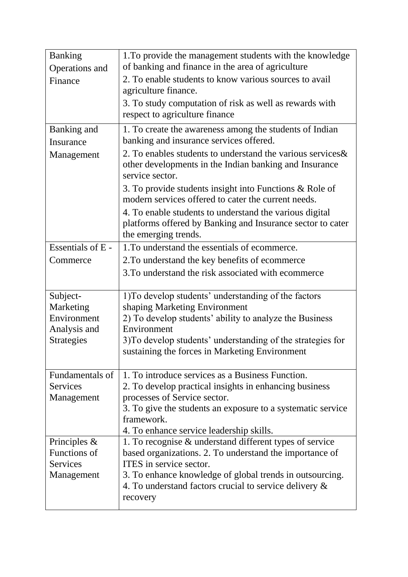| <b>Banking</b><br>Operations and<br>Finance               | 1. To provide the management students with the knowledge<br>of banking and finance in the area of agriculture<br>2. To enable students to know various sources to avail<br>agriculture finance.                                                                                    |
|-----------------------------------------------------------|------------------------------------------------------------------------------------------------------------------------------------------------------------------------------------------------------------------------------------------------------------------------------------|
|                                                           | 3. To study computation of risk as well as rewards with<br>respect to agriculture finance                                                                                                                                                                                          |
| Banking and<br>Insurance                                  | 1. To create the awareness among the students of Indian<br>banking and insurance services offered.                                                                                                                                                                                 |
| Management                                                | 2. To enables students to understand the various services &<br>other developments in the Indian banking and Insurance<br>service sector.                                                                                                                                           |
|                                                           | 3. To provide students insight into Functions & Role of<br>modern services offered to cater the current needs.                                                                                                                                                                     |
|                                                           | 4. To enable students to understand the various digital<br>platforms offered by Banking and Insurance sector to cater<br>the emerging trends.                                                                                                                                      |
| Essentials of E -                                         | 1. To understand the essentials of ecommerce.                                                                                                                                                                                                                                      |
| Commerce                                                  | 2. To understand the key benefits of ecommerce                                                                                                                                                                                                                                     |
|                                                           | 3. To understand the risk associated with ecommerce                                                                                                                                                                                                                                |
| Subject-<br>Marketing<br>Environment<br>Analysis and      | 1) To develop students' understanding of the factors<br>shaping Marketing Environment<br>2) To develop students' ability to analyze the Business<br>Environment                                                                                                                    |
| <b>Strategies</b>                                         | 3) To develop students' understanding of the strategies for<br>sustaining the forces in Marketing Environment                                                                                                                                                                      |
| Fundamentals of<br>Services<br>Management                 | 1. To introduce services as a Business Function.<br>2. To develop practical insights in enhancing business<br>processes of Service sector.<br>3. To give the students an exposure to a systematic service<br>framework.<br>4. To enhance service leadership skills.                |
| Principles $\&$<br>Functions of<br>Services<br>Management | 1. To recognise & understand different types of service<br>based organizations. 2. To understand the importance of<br>ITES in service sector.<br>3. To enhance knowledge of global trends in outsourcing.<br>4. To understand factors crucial to service delivery $\&$<br>recovery |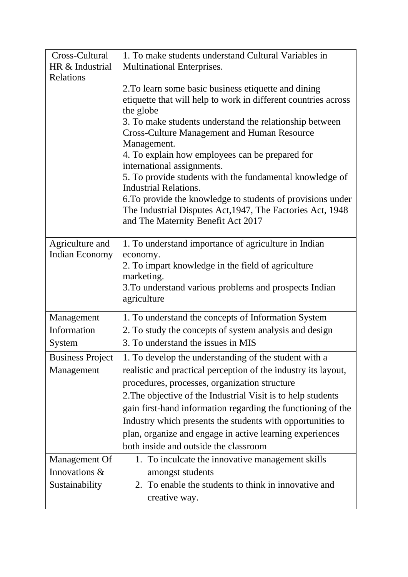| Cross-Cultural          | 1. To make students understand Cultural Variables in                                   |
|-------------------------|----------------------------------------------------------------------------------------|
| HR & Industrial         | Multinational Enterprises.                                                             |
| Relations               |                                                                                        |
|                         | 2. To learn some basic business etiquette and dining                                   |
|                         | etiquette that will help to work in different countries across                         |
|                         | the globe                                                                              |
|                         | 3. To make students understand the relationship between                                |
|                         | <b>Cross-Culture Management and Human Resource</b>                                     |
|                         | Management.                                                                            |
|                         | 4. To explain how employees can be prepared for                                        |
|                         | international assignments.<br>5. To provide students with the fundamental knowledge of |
|                         | <b>Industrial Relations.</b>                                                           |
|                         | 6. To provide the knowledge to students of provisions under                            |
|                         | The Industrial Disputes Act, 1947, The Factories Act, 1948                             |
|                         | and The Maternity Benefit Act 2017                                                     |
|                         |                                                                                        |
| Agriculture and         | 1. To understand importance of agriculture in Indian                                   |
| Indian Economy          | economy.                                                                               |
|                         | 2. To impart knowledge in the field of agriculture                                     |
|                         | marketing.                                                                             |
|                         | 3. To understand various problems and prospects Indian                                 |
|                         | agriculture                                                                            |
| Management              | 1. To understand the concepts of Information System                                    |
| Information             | 2. To study the concepts of system analysis and design                                 |
| System                  | 3. To understand the issues in MIS                                                     |
| <b>Business Project</b> | 1. To develop the understanding of the student with a                                  |
| Management              | realistic and practical perception of the industry its layout,                         |
|                         | procedures, processes, organization structure                                          |
|                         | 2. The objective of the Industrial Visit is to help students                           |
|                         | gain first-hand information regarding the functioning of the                           |
|                         | Industry which presents the students with opportunities to                             |
|                         | plan, organize and engage in active learning experiences                               |
|                         | both inside and outside the classroom                                                  |
|                         |                                                                                        |
| Management Of           | 1. To inculcate the innovative management skills                                       |
| Innovations &           | amongst students                                                                       |
| Sustainability          | 2. To enable the students to think in innovative and                                   |
|                         | creative way.                                                                          |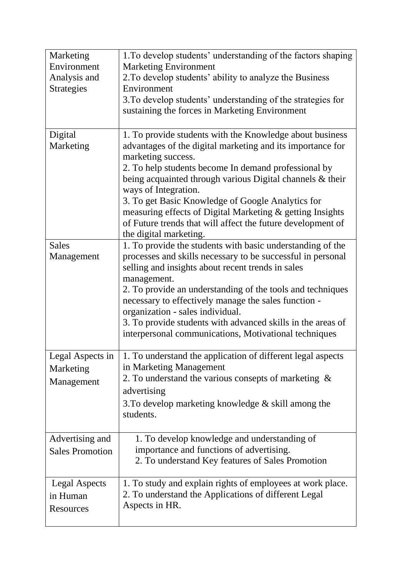| Marketing<br>Environment                      | 1. To develop students' understanding of the factors shaping<br><b>Marketing Environment</b>                                                                                                                                                                                                                                                                                                                                                                                                         |
|-----------------------------------------------|------------------------------------------------------------------------------------------------------------------------------------------------------------------------------------------------------------------------------------------------------------------------------------------------------------------------------------------------------------------------------------------------------------------------------------------------------------------------------------------------------|
| Analysis and<br><b>Strategies</b>             | 2. To develop students' ability to analyze the Business<br>Environment<br>3. To develop students' understanding of the strategies for<br>sustaining the forces in Marketing Environment                                                                                                                                                                                                                                                                                                              |
| Digital<br>Marketing                          | 1. To provide students with the Knowledge about business<br>advantages of the digital marketing and its importance for<br>marketing success.<br>2. To help students become In demand professional by<br>being acquainted through various Digital channels & their<br>ways of Integration.<br>3. To get Basic Knowledge of Google Analytics for<br>measuring effects of Digital Marketing & getting Insights<br>of Future trends that will affect the future development of<br>the digital marketing. |
| <b>Sales</b><br>Management                    | 1. To provide the students with basic understanding of the<br>processes and skills necessary to be successful in personal<br>selling and insights about recent trends in sales<br>management.<br>2. To provide an understanding of the tools and techniques<br>necessary to effectively manage the sales function -<br>organization - sales individual.<br>3. To provide students with advanced skills in the areas of<br>interpersonal communications, Motivational techniques                      |
| Legal Aspects in<br>Marketing<br>Management   | 1. To understand the application of different legal aspects<br>in Marketing Management<br>2. To understand the various consepts of marketing $\&$<br>advertising<br>3. To develop marketing knowledge $\&$ skill among the<br>students.                                                                                                                                                                                                                                                              |
| Advertising and<br><b>Sales Promotion</b>     | 1. To develop knowledge and understanding of<br>importance and functions of advertising.<br>2. To understand Key features of Sales Promotion                                                                                                                                                                                                                                                                                                                                                         |
| <b>Legal Aspects</b><br>in Human<br>Resources | 1. To study and explain rights of employees at work place.<br>2. To understand the Applications of different Legal<br>Aspects in HR.                                                                                                                                                                                                                                                                                                                                                                 |